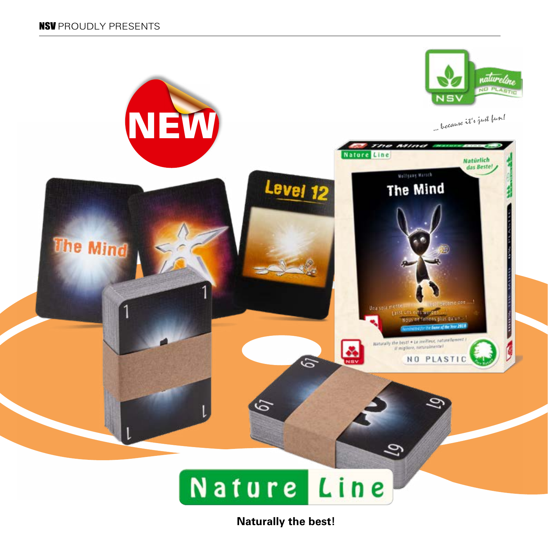

## Nature Line

**Naturally the best!**